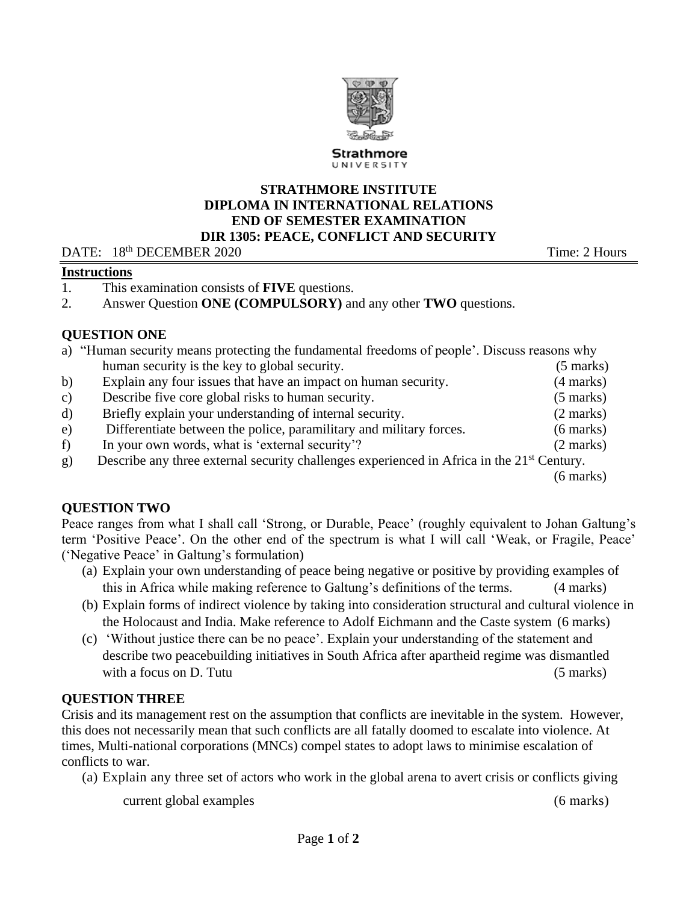

#### **STRATHMORE INSTITUTE DIPLOMA IN INTERNATIONAL RELATIONS END OF SEMESTER EXAMINATION DIR 1305: PEACE, CONFLICT AND SECURITY**

#### DATE: 18<sup>th</sup> DECEMBER 2020 Time: 2 Hours

#### **Instructions**

- 1. This examination consists of **FIVE** questions.
- 2. Answer Question **ONE (COMPULSORY)** and any other **TWO** questions.

# **QUESTION ONE**

|              | a) "Human security means protecting the fundamental freedoms of people'. Discuss reasons why           |                     |
|--------------|--------------------------------------------------------------------------------------------------------|---------------------|
|              | human security is the key to global security.                                                          | $(5 \text{ marks})$ |
| b)           | Explain any four issues that have an impact on human security.                                         | $(4 \text{ marks})$ |
| $\mathbf{c}$ | Describe five core global risks to human security.                                                     | $(5 \text{ marks})$ |
| d)           | Briefly explain your understanding of internal security.                                               | $(2 \text{ marks})$ |
| e)           | Differentiate between the police, paramilitary and military forces.                                    | $(6 \text{ marks})$ |
| f)           | In your own words, what is 'external security'?                                                        | $(2 \text{ marks})$ |
| g)           | Describe any three external security challenges experienced in Africa in the 21 <sup>st</sup> Century. |                     |
|              |                                                                                                        | (6 marks)           |

# **QUESTION TWO**

Peace ranges from what I shall call 'Strong, or Durable, Peace' (roughly equivalent to Johan Galtung's term 'Positive Peace'. On the other end of the spectrum is what I will call 'Weak, or Fragile, Peace' ('Negative Peace' in Galtung's formulation)

- (a) Explain your own understanding of peace being negative or positive by providing examples of this in Africa while making reference to Galtung's definitions of the terms. (4 marks)
- (b) Explain forms of indirect violence by taking into consideration structural and cultural violence in the Holocaust and India. Make reference to Adolf Eichmann and the Caste system (6 marks)
- (c) 'Without justice there can be no peace'. Explain your understanding of the statement and describe two peacebuilding initiatives in South Africa after apartheid regime was dismantled with a focus on D. Tutu (5 marks) (5 marks)

# **QUESTION THREE**

Crisis and its management rest on the assumption that conflicts are inevitable in the system. However, this does not necessarily mean that such conflicts are all fatally doomed to escalate into violence. At times, Multi-national corporations (MNCs) compel states to adopt laws to minimise escalation of conflicts to war.

- (a) Explain any three set of actors who work in the global arena to avert crisis or conflicts giving
	- current global examples (6 marks)